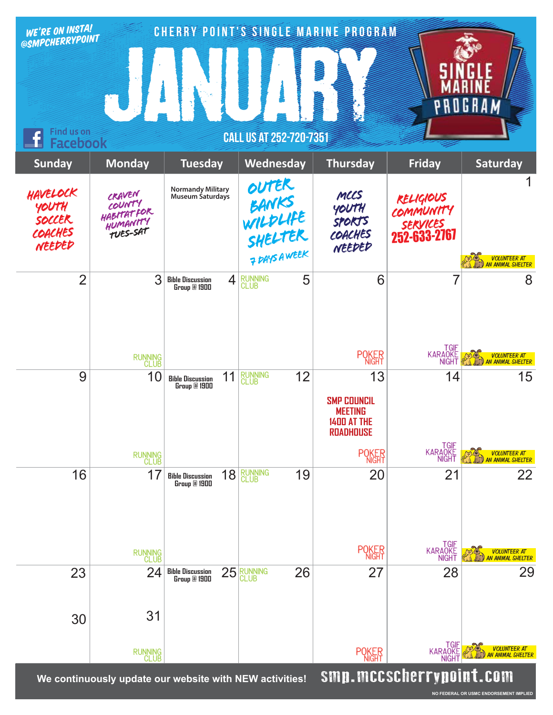| WE'RE ON INSTA!<br>@SMPCHERRYPOINT                              |                                                                      |                                                          |                             |                                      | <b>CHERRY POINT'S SINGLE MARINE PROGRAM</b>                                          |                                                                  |                                           |
|-----------------------------------------------------------------|----------------------------------------------------------------------|----------------------------------------------------------|-----------------------------|--------------------------------------|--------------------------------------------------------------------------------------|------------------------------------------------------------------|-------------------------------------------|
|                                                                 |                                                                      |                                                          |                             |                                      |                                                                                      |                                                                  | OGRAM                                     |
| Find us on<br><b>CALL US AT 252-720-7351</b><br><b>Facebook</b> |                                                                      |                                                          |                             |                                      |                                                                                      |                                                                  |                                           |
| <b>Sunday</b>                                                   | <b>Monday</b>                                                        | <b>Tuesday</b>                                           |                             | Wednesday                            | <b>Thursday</b>                                                                      | <b>Friday</b>                                                    | Saturday                                  |
| HAVELOCK<br>YOUTH<br>SOCCER<br>COACHES<br>NEEDED                | CRAVEN<br>COUNTY<br><b>HABITATFOR</b><br>HUMANITY<br><b>TUES-SAT</b> | <b>Normandy Military</b><br><b>Museum Saturdays</b>      | outer<br>BANKS              | WILDLIFE<br>SHELTER<br>7 DAYS A WEEK | MCCS<br>YOUTH<br><b>SPORTS</b><br>COACHES<br>NEEDED                                  | <b>RELIGIOUS</b><br>COMMUNITY<br><i>sekylces</i><br>252-633-2767 | VOLUNTEER AT<br>AN ANIMAL SHELTER         |
| $\overline{2}$                                                  | 3                                                                    | <b>Bible Discussion</b><br>Group @ 1900                  | <b>RUNNING</b><br>CLUB<br>4 | 5                                    | 6                                                                                    | 7                                                                | 8                                         |
|                                                                 | RUNNING<br>CLUB                                                      |                                                          |                             |                                      | <b>POKER</b>                                                                         | TGIF<br>KARAQKE<br><b>NIGHT</b>                                  | VOLUNTEER AT<br>AN ANIMAL SHELTER         |
| 9                                                               | 10                                                                   | 11<br><b>Bible Discussion</b><br>Group @ 1900            | <b>RUNNING</b><br>CLUB      | 12                                   | 13<br><b>SMP COUNCIL</b><br><b>MEETING</b><br><b>1400 AT THE</b><br><b>ROADHOUSE</b> | 14                                                               | 15                                        |
|                                                                 | RUNNING<br>CLUB                                                      |                                                          |                             |                                      | <b>POKER</b>                                                                         | TGIF<br>KARAOKE<br>NIGHT                                         | <b>VOLUNTEER AT<br/>AN ANIMAL SHELTER</b> |
| 16                                                              | 17                                                                   | 18<br><b>Bible Discussion</b><br>Group <sup>2</sup> 1900 | <b>RUNNING</b><br>CLUB      | 19                                   | 20                                                                                   | 21                                                               | 22                                        |
|                                                                 | RUNNING<br>CLUB                                                      |                                                          |                             |                                      | <b>POKER</b>                                                                         | TGIF<br>KARAOKE<br>NIGHT                                         | VOLUNTEER AT<br>AN ANIMAL SHELTER         |
| 23                                                              | 24                                                                   | 25<br><b>Bible Discussion<br/>Group @ 1900</b>           | RUNNING<br>CLUB             | 26                                   | 27                                                                                   | 28                                                               | 29                                        |
| 30                                                              | 31                                                                   |                                                          |                             |                                      |                                                                                      |                                                                  |                                           |
|                                                                 | RUNNING<br>CLUB                                                      |                                                          |                             |                                      | <b>POKER</b>                                                                         | <b>TGIF</b><br><b>KARAOKE</b><br><b>NIGH</b>                     | VOLUNTEER AT<br>AN ANIMAL SHELTER         |
|                                                                 | We continuously undate our website with NEW activities!              |                                                          |                             |                                      |                                                                                      | smn mccscherryngint com                                          |                                           |

We continuously update our website with NEW activities! signals and **Sunders in y point L. Con**n